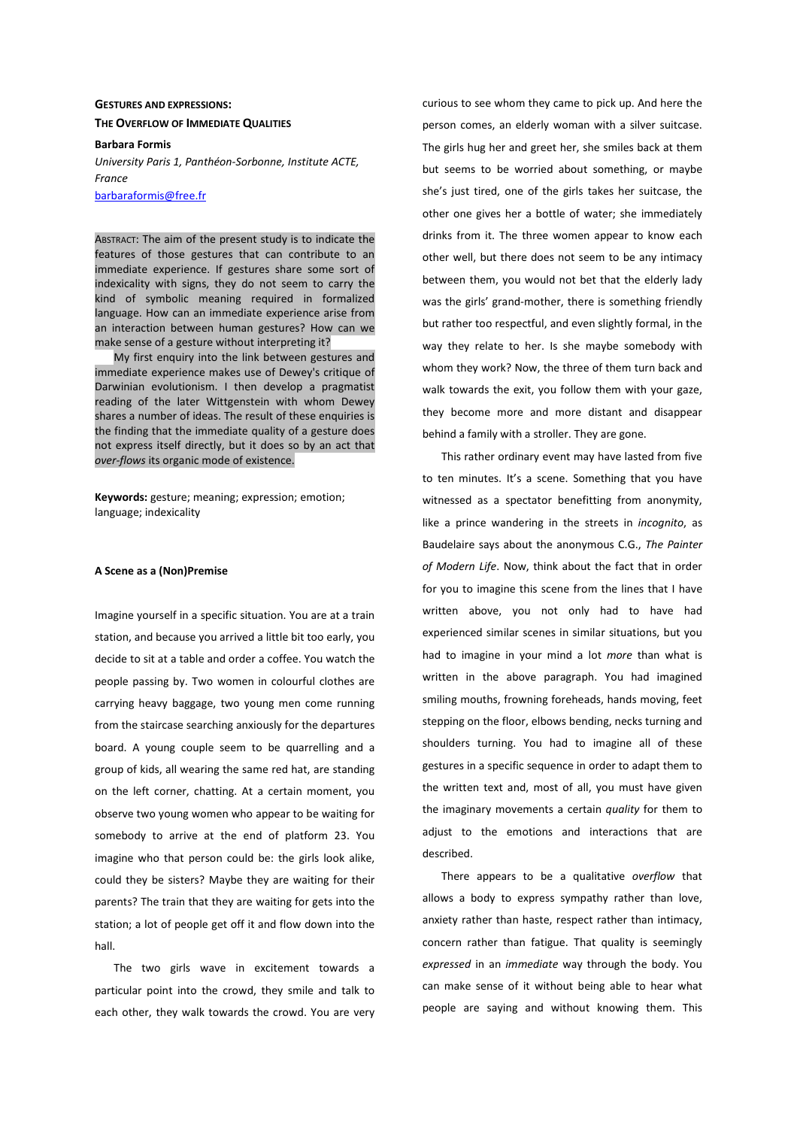# **GESTURES AND EXPRESSIONS: THE OVERFLOW OF IMMEDIATE QUALITIES**

### **Barbara Formis**

*University Paris 1, Panthéon-Sorbonne, Institute ACTE, France* 

barbaraformis@free.fr

ABSTRACT: The aim of the present study is to indicate the features of those gestures that can contribute to an immediate experience. If gestures share some sort of indexicality with signs, they do not seem to carry the kind of symbolic meaning required in formalized language. How can an immediate experience arise from an interaction between human gestures? How can we make sense of a gesture without interpreting it?

My first enquiry into the link between gestures and immediate experience makes use of Dewey's critique of Darwinian evolutionism. I then develop a pragmatist reading of the later Wittgenstein with whom Dewey shares a number of ideas. The result of these enquiries is the finding that the immediate quality of a gesture does not express itself directly, but it does so by an act that *over-flows* its organic mode of existence.

**Keywords:** gesture; meaning; expression; emotion; language; indexicality

## **A Scene as a (Non)Premise**

Imagine yourself in a specific situation. You are at a train station, and because you arrived a little bit too early, you decide to sit at a table and order a coffee. You watch the people passing by. Two women in colourful clothes are carrying heavy baggage, two young men come running from the staircase searching anxiously for the departures board. A young couple seem to be quarrelling and a group of kids, all wearing the same red hat, are standing on the left corner, chatting. At a certain moment, you observe two young women who appear to be waiting for somebody to arrive at the end of platform 23. You imagine who that person could be: the girls look alike, could they be sisters? Maybe they are waiting for their parents? The train that they are waiting for gets into the station; a lot of people get off it and flow down into the hall.

The two girls wave in excitement towards a particular point into the crowd, they smile and talk to each other, they walk towards the crowd. You are very curious to see whom they came to pick up. And here the person comes, an elderly woman with a silver suitcase. The girls hug her and greet her, she smiles back at them but seems to be worried about something, or maybe she's just tired, one of the girls takes her suitcase, the other one gives her a bottle of water; she immediately drinks from it. The three women appear to know each other well, but there does not seem to be any intimacy between them, you would not bet that the elderly lady was the girls' grand-mother, there is something friendly but rather too respectful, and even slightly formal, in the way they relate to her. Is she maybe somebody with whom they work? Now, the three of them turn back and walk towards the exit, you follow them with your gaze, they become more and more distant and disappear behind a family with a stroller. They are gone.

This rather ordinary event may have lasted from five to ten minutes. It's a scene. Something that you have witnessed as a spectator benefitting from anonymity, like a prince wandering in the streets in *incognito*, as Baudelaire says about the anonymous C.G., *The Painter of Modern Life*. Now, think about the fact that in order for you to imagine this scene from the lines that I have written above, you not only had to have had experienced similar scenes in similar situations, but you had to imagine in your mind a lot *more* than what is written in the above paragraph. You had imagined smiling mouths, frowning foreheads, hands moving, feet stepping on the floor, elbows bending, necks turning and shoulders turning. You had to imagine all of these gestures in a specific sequence in order to adapt them to the written text and, most of all, you must have given the imaginary movements a certain *quality* for them to adjust to the emotions and interactions that are described.

There appears to be a qualitative *overflow* that allows a body to express sympathy rather than love, anxiety rather than haste, respect rather than intimacy, concern rather than fatigue. That quality is seemingly *expressed* in an *immediate* way through the body. You can make sense of it without being able to hear what people are saying and without knowing them. This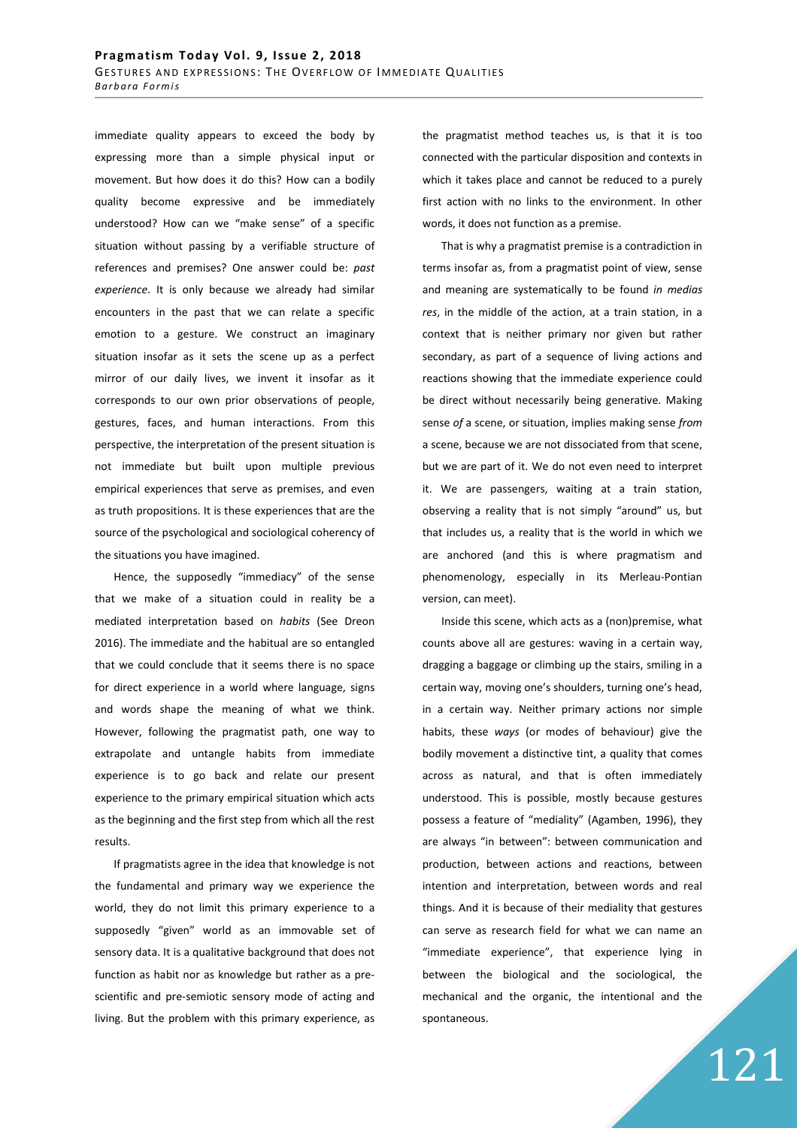immediate quality appears to exceed the body by expressing more than a simple physical input or movement. But how does it do this? How can a bodily quality become expressive and be immediately understood? How can we "make sense" of a specific situation without passing by a verifiable structure of references and premises? One answer could be: *past experience*. It is only because we already had similar encounters in the past that we can relate a specific emotion to a gesture. We construct an imaginary situation insofar as it sets the scene up as a perfect mirror of our daily lives, we invent it insofar as it corresponds to our own prior observations of people, gestures, faces, and human interactions. From this perspective, the interpretation of the present situation is not immediate but built upon multiple previous empirical experiences that serve as premises, and even as truth propositions. It is these experiences that are the source of the psychological and sociological coherency of the situations you have imagined.

Hence, the supposedly "immediacy" of the sense that we make of a situation could in reality be a mediated interpretation based on *habits* (See Dreon 2016). The immediate and the habitual are so entangled that we could conclude that it seems there is no space for direct experience in a world where language, signs and words shape the meaning of what we think. However, following the pragmatist path, one way to extrapolate and untangle habits from immediate experience is to go back and relate our present experience to the primary empirical situation which acts as the beginning and the first step from which all the rest results.

If pragmatists agree in the idea that knowledge is not the fundamental and primary way we experience the world, they do not limit this primary experience to a supposedly "given" world as an immovable set of sensory data. It is a qualitative background that does not function as habit nor as knowledge but rather as a prescientific and pre-semiotic sensory mode of acting and living. But the problem with this primary experience, as the pragmatist method teaches us, is that it is too connected with the particular disposition and contexts in which it takes place and cannot be reduced to a purely first action with no links to the environment. In other words, it does not function as a premise.

That is why a pragmatist premise is a contradiction in terms insofar as, from a pragmatist point of view, sense and meaning are systematically to be found *in medias res*, in the middle of the action, at a train station, in a context that is neither primary nor given but rather secondary, as part of a sequence of living actions and reactions showing that the immediate experience could be direct without necessarily being generative. Making sense *of* a scene, or situation, implies making sense *from* a scene, because we are not dissociated from that scene, but we are part of it. We do not even need to interpret it. We are passengers, waiting at a train station, observing a reality that is not simply "around" us, but that includes us, a reality that is the world in which we are anchored (and this is where pragmatism and phenomenology, especially in its Merleau-Pontian version, can meet).

Inside this scene, which acts as a (non)premise, what counts above all are gestures: waving in a certain way, dragging a baggage or climbing up the stairs, smiling in a certain way, moving one's shoulders, turning one's head, in a certain way. Neither primary actions nor simple habits, these *ways* (or modes of behaviour) give the bodily movement a distinctive tint, a quality that comes across as natural, and that is often immediately understood. This is possible, mostly because gestures possess a feature of "mediality" (Agamben, 1996), they are always "in between": between communication and production, between actions and reactions, between intention and interpretation, between words and real things. And it is because of their mediality that gestures can serve as research field for what we can name an "immediate experience", that experience lying in between the biological and the sociological, the mechanical and the organic, the intentional and the spontaneous.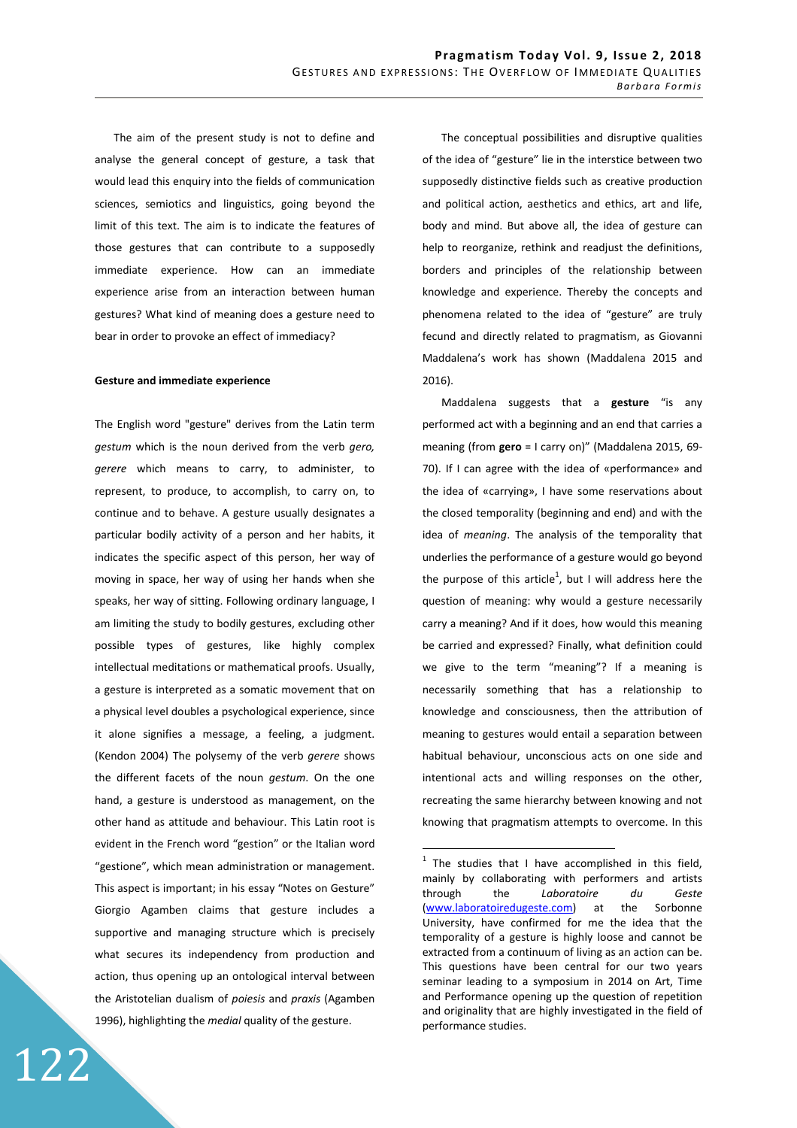The aim of the present study is not to define and analyse the general concept of gesture, a task that would lead this enquiry into the fields of communication sciences, semiotics and linguistics, going beyond the limit of this text. The aim is to indicate the features of those gestures that can contribute to a supposedly immediate experience. How can an immediate experience arise from an interaction between human gestures? What kind of meaning does a gesture need to bear in order to provoke an effect of immediacy?

## **Gesture and immediate experience**

The English word "gesture" derives from the Latin term *gestum* which is the noun derived from the verb *gero, gerere* which means to carry, to administer, to represent, to produce, to accomplish, to carry on, to continue and to behave. A gesture usually designates a particular bodily activity of a person and her habits, it indicates the specific aspect of this person, her way of moving in space, her way of using her hands when she speaks, her way of sitting. Following ordinary language, I am limiting the study to bodily gestures, excluding other possible types of gestures, like highly complex intellectual meditations or mathematical proofs. Usually, a gesture is interpreted as a somatic movement that on a physical level doubles a psychological experience, since it alone signifies a message, a feeling, a judgment. (Kendon 2004) The polysemy of the verb *gerere* shows the different facets of the noun *gestum*. On the one hand, a gesture is understood as management, on the other hand as attitude and behaviour. This Latin root is evident in the French word "gestion" or the Italian word "gestione", which mean administration or management. This aspect is important; in his essay "Notes on Gesture" Giorgio Agamben claims that gesture includes a supportive and managing structure which is precisely what secures its independency from production and action, thus opening up an ontological interval between the Aristotelian dualism of *poiesis* and *praxis* (Agamben 1996), highlighting the *medial* quality of the gesture.

122

The conceptual possibilities and disruptive qualities of the idea of "gesture" lie in the interstice between two supposedly distinctive fields such as creative production and political action, aesthetics and ethics, art and life, body and mind. But above all, the idea of gesture can help to reorganize, rethink and readjust the definitions, borders and principles of the relationship between knowledge and experience. Thereby the concepts and phenomena related to the idea of "gesture" are truly fecund and directly related to pragmatism, as Giovanni Maddalena's work has shown (Maddalena 2015 and 2016).

Maddalena suggests that a **gesture** "is any performed act with a beginning and an end that carries a meaning (from **gero** = I carry on)" (Maddalena 2015, 69- 70). If I can agree with the idea of «performance» and the idea of «carrying», I have some reservations about the closed temporality (beginning and end) and with the idea of *meaning*. The analysis of the temporality that underlies the performance of a gesture would go beyond the purpose of this article<sup>1</sup>, but I will address here the question of meaning: why would a gesture necessarily carry a meaning? And if it does, how would this meaning be carried and expressed? Finally, what definition could we give to the term "meaning"? If a meaning is necessarily something that has a relationship to knowledge and consciousness, then the attribution of meaning to gestures would entail a separation between habitual behaviour, unconscious acts on one side and intentional acts and willing responses on the other, recreating the same hierarchy between knowing and not knowing that pragmatism attempts to overcome. In this

 $\overline{a}$ 

 $1$  The studies that I have accomplished in this field, mainly by collaborating with performers and artists through the *Laboratoire du Geste* (www.laboratoiredugeste.com) at the Sorbonne University, have confirmed for me the idea that the temporality of a gesture is highly loose and cannot be extracted from a continuum of living as an action can be. This questions have been central for our two years seminar leading to a symposium in 2014 on Art, Time and Performance opening up the question of repetition and originality that are highly investigated in the field of performance studies.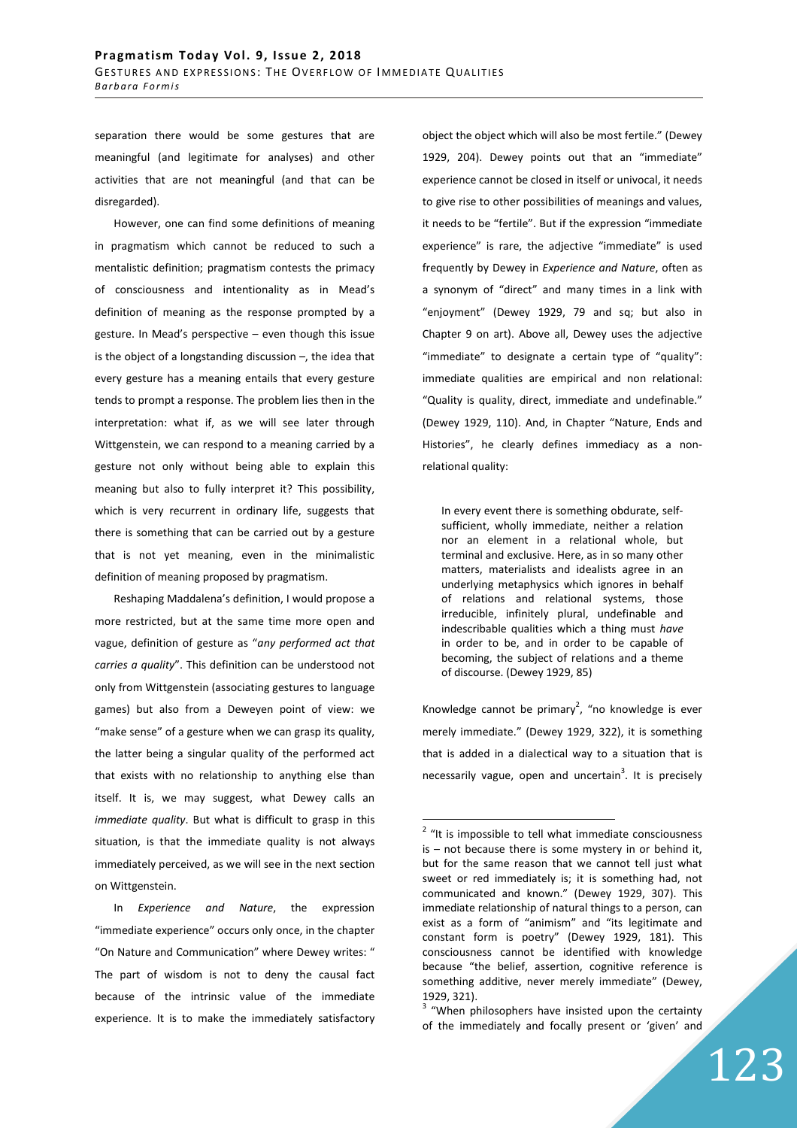separation there would be some gestures that are meaningful (and legitimate for analyses) and other activities that are not meaningful (and that can be disregarded).

However, one can find some definitions of meaning in pragmatism which cannot be reduced to such a mentalistic definition; pragmatism contests the primacy of consciousness and intentionality as in Mead's definition of meaning as the response prompted by a gesture. In Mead's perspective – even though this issue is the object of a longstanding discussion –, the idea that every gesture has a meaning entails that every gesture tends to prompt a response. The problem lies then in the interpretation: what if, as we will see later through Wittgenstein, we can respond to a meaning carried by a gesture not only without being able to explain this meaning but also to fully interpret it? This possibility, which is very recurrent in ordinary life, suggests that there is something that can be carried out by a gesture that is not yet meaning, even in the minimalistic definition of meaning proposed by pragmatism.

Reshaping Maddalena's definition, I would propose a more restricted, but at the same time more open and vague, definition of gesture as "*any performed act that carries a quality*". This definition can be understood not only from Wittgenstein (associating gestures to language games) but also from a Deweyen point of view: we "make sense" of a gesture when we can grasp its quality, the latter being a singular quality of the performed act that exists with no relationship to anything else than itself. It is, we may suggest, what Dewey calls an *immediate quality*. But what is difficult to grasp in this situation, is that the immediate quality is not always immediately perceived, as we will see in the next section on Wittgenstein.

In *Experience and Nature*, the expression "immediate experience" occurs only once, in the chapter "On Nature and Communication" where Dewey writes: " The part of wisdom is not to deny the causal fact because of the intrinsic value of the immediate experience. It is to make the immediately satisfactory object the object which will also be most fertile." (Dewey 1929, 204). Dewey points out that an "immediate" experience cannot be closed in itself or univocal, it needs to give rise to other possibilities of meanings and values, it needs to be "fertile". But if the expression "immediate experience" is rare, the adjective "immediate" is used frequently by Dewey in *Experience and Nature*, often as a synonym of "direct" and many times in a link with "enjoyment" (Dewey 1929, 79 and sq; but also in Chapter 9 on art). Above all, Dewey uses the adjective "immediate" to designate a certain type of "quality": immediate qualities are empirical and non relational: "Quality is quality, direct, immediate and undefinable." (Dewey 1929, 110). And, in Chapter "Nature, Ends and Histories", he clearly defines immediacy as a nonrelational quality:

In every event there is something obdurate, selfsufficient, wholly immediate, neither a relation nor an element in a relational whole, but terminal and exclusive. Here, as in so many other matters, materialists and idealists agree in an underlying metaphysics which ignores in behalf of relations and relational systems, those irreducible, infinitely plural, undefinable and indescribable qualities which a thing must *have* in order to be, and in order to be capable of becoming, the subject of relations and a theme of discourse. (Dewey 1929, 85)

Knowledge cannot be primary<sup>2</sup>, "no knowledge is ever merely immediate." (Dewey 1929, 322), it is something that is added in a dialectical way to a situation that is necessarily vague, open and uncertain<sup>3</sup>. It is precisely

 $\overline{a}$ 

<sup>3</sup> "When philosophers have insisted upon the certainty of the immediately and focally present or 'given' and

<sup>&</sup>lt;sup>2</sup> "It is impossible to tell what immediate consciousness is – not because there is some mystery in or behind it, but for the same reason that we cannot tell just what sweet or red immediately is; it is something had, not communicated and known." (Dewey 1929, 307). This immediate relationship of natural things to a person, can exist as a form of "animism" and "its legitimate and constant form is poetry" (Dewey 1929, 181). This consciousness cannot be identified with knowledge because "the belief, assertion, cognitive reference is something additive, never merely immediate" (Dewey, 1929, 321).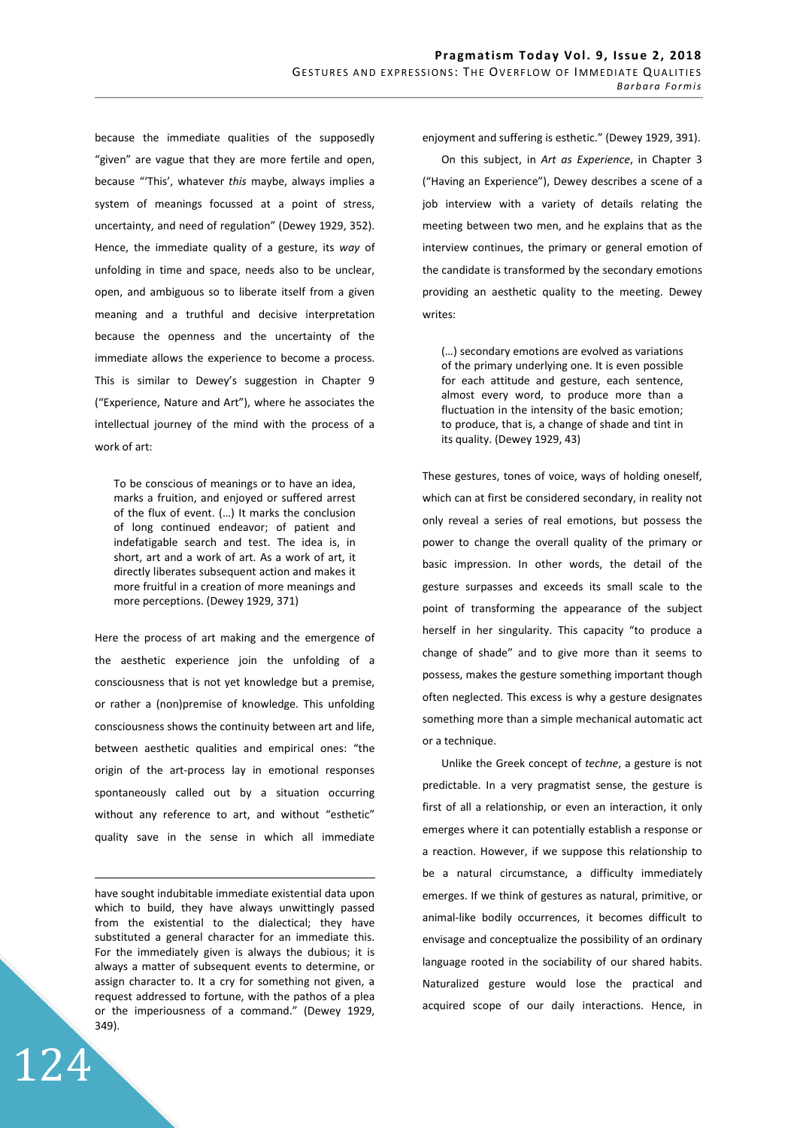because the immediate qualities of the supposedly "given" are vague that they are more fertile and open, because "'This', whatever *this* maybe, always implies a system of meanings focussed at a point of stress, uncertainty, and need of regulation" (Dewey 1929, 352). Hence, the immediate quality of a gesture, its *way* of unfolding in time and space, needs also to be unclear, open, and ambiguous so to liberate itself from a given meaning and a truthful and decisive interpretation because the openness and the uncertainty of the immediate allows the experience to become a process. This is similar to Dewey's suggestion in Chapter 9 ("Experience, Nature and Art"), where he associates the intellectual journey of the mind with the process of a work of art:

To be conscious of meanings or to have an idea, marks a fruition, and enjoyed or suffered arrest of the flux of event. (…) It marks the conclusion of long continued endeavor; of patient and indefatigable search and test. The idea is, in short, art and a work of art. As a work of art, it directly liberates subsequent action and makes it more fruitful in a creation of more meanings and more perceptions. (Dewey 1929, 371)

Here the process of art making and the emergence of the aesthetic experience join the unfolding of a consciousness that is not yet knowledge but a premise, or rather a (non)premise of knowledge. This unfolding consciousness shows the continuity between art and life, between aesthetic qualities and empirical ones: "the origin of the art-process lay in emotional responses spontaneously called out by a situation occurring without any reference to art, and without "esthetic" quality save in the sense in which all immediate

have sought indubitable immediate existential data upon which to build, they have always unwittingly passed from the existential to the dialectical; they have substituted a general character for an immediate this. For the immediately given is always the dubious; it is always a matter of subsequent events to determine, or assign character to. It a cry for something not given, a request addressed to fortune, with the pathos of a plea or the imperiousness of a command." (Dewey 1929, 349).

124

<u>.</u>

enjoyment and suffering is esthetic." (Dewey 1929, 391).

On this subject, in *Art as Experience*, in Chapter 3 ("Having an Experience"), Dewey describes a scene of a job interview with a variety of details relating the meeting between two men, and he explains that as the interview continues, the primary or general emotion of the candidate is transformed by the secondary emotions providing an aesthetic quality to the meeting. Dewey writes:

(…) secondary emotions are evolved as variations of the primary underlying one. It is even possible for each attitude and gesture, each sentence, almost every word, to produce more than a fluctuation in the intensity of the basic emotion; to produce, that is, a change of shade and tint in its quality. (Dewey 1929, 43)

These gestures, tones of voice, ways of holding oneself, which can at first be considered secondary, in reality not only reveal a series of real emotions, but possess the power to change the overall quality of the primary or basic impression. In other words, the detail of the gesture surpasses and exceeds its small scale to the point of transforming the appearance of the subject herself in her singularity. This capacity "to produce a change of shade" and to give more than it seems to possess, makes the gesture something important though often neglected. This excess is why a gesture designates something more than a simple mechanical automatic act or a technique.

Unlike the Greek concept of *techne*, a gesture is not predictable. In a very pragmatist sense, the gesture is first of all a relationship, or even an interaction, it only emerges where it can potentially establish a response or a reaction. However, if we suppose this relationship to be a natural circumstance, a difficulty immediately emerges. If we think of gestures as natural, primitive, or animal-like bodily occurrences, it becomes difficult to envisage and conceptualize the possibility of an ordinary language rooted in the sociability of our shared habits. Naturalized gesture would lose the practical and acquired scope of our daily interactions. Hence, in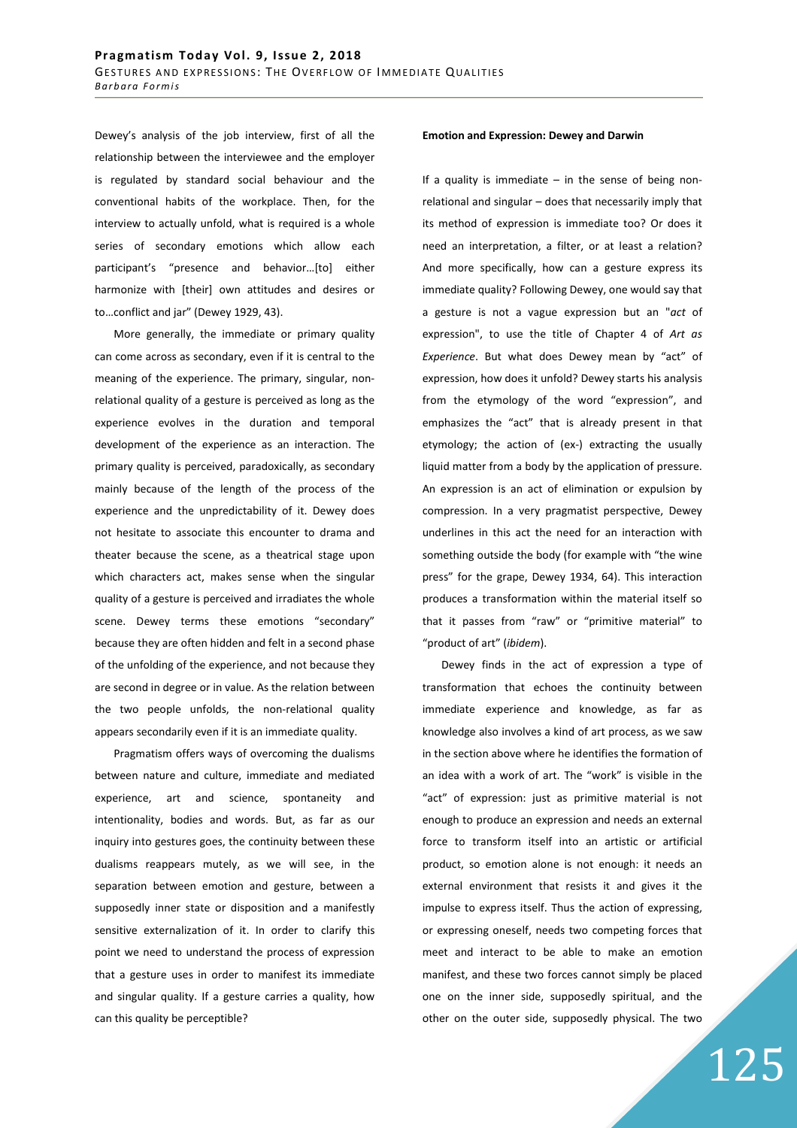Dewey's analysis of the job interview, first of all the relationship between the interviewee and the employer is regulated by standard social behaviour and the conventional habits of the workplace. Then, for the interview to actually unfold, what is required is a whole series of secondary emotions which allow each participant's "presence and behavior…[to] either harmonize with [their] own attitudes and desires or to…conflict and jar" (Dewey 1929, 43).

More generally, the immediate or primary quality can come across as secondary, even if it is central to the meaning of the experience. The primary, singular, nonrelational quality of a gesture is perceived as long as the experience evolves in the duration and temporal development of the experience as an interaction. The primary quality is perceived, paradoxically, as secondary mainly because of the length of the process of the experience and the unpredictability of it. Dewey does not hesitate to associate this encounter to drama and theater because the scene, as a theatrical stage upon which characters act, makes sense when the singular quality of a gesture is perceived and irradiates the whole scene. Dewey terms these emotions "secondary" because they are often hidden and felt in a second phase of the unfolding of the experience, and not because they are second in degree or in value. As the relation between the two people unfolds, the non-relational quality appears secondarily even if it is an immediate quality.

Pragmatism offers ways of overcoming the dualisms between nature and culture, immediate and mediated experience, art and science, spontaneity and intentionality, bodies and words. But, as far as our inquiry into gestures goes, the continuity between these dualisms reappears mutely, as we will see, in the separation between emotion and gesture, between a supposedly inner state or disposition and a manifestly sensitive externalization of it. In order to clarify this point we need to understand the process of expression that a gesture uses in order to manifest its immediate and singular quality. If a gesture carries a quality, how can this quality be perceptible?

## **Emotion and Expression: Dewey and Darwin**

If a quality is immediate  $-$  in the sense of being nonrelational and singular – does that necessarily imply that its method of expression is immediate too? Or does it need an interpretation, a filter, or at least a relation? And more specifically, how can a gesture express its immediate quality? Following Dewey, one would say that a gesture is not a vague expression but an "*act* of expression", to use the title of Chapter 4 of *Art as Experience*. But what does Dewey mean by "act" of expression, how does it unfold? Dewey starts his analysis from the etymology of the word "expression", and emphasizes the "act" that is already present in that etymology; the action of (ex-) extracting the usually liquid matter from a body by the application of pressure. An expression is an act of elimination or expulsion by compression. In a very pragmatist perspective, Dewey underlines in this act the need for an interaction with something outside the body (for example with "the wine press" for the grape, Dewey 1934, 64). This interaction produces a transformation within the material itself so that it passes from "raw" or "primitive material" to "product of art" (*ibidem*).

Dewey finds in the act of expression a type of transformation that echoes the continuity between immediate experience and knowledge, as far as knowledge also involves a kind of art process, as we saw in the section above where he identifies the formation of an idea with a work of art. The "work" is visible in the "act" of expression: just as primitive material is not enough to produce an expression and needs an external force to transform itself into an artistic or artificial product, so emotion alone is not enough: it needs an external environment that resists it and gives it the impulse to express itself. Thus the action of expressing, or expressing oneself, needs two competing forces that meet and interact to be able to make an emotion manifest, and these two forces cannot simply be placed one on the inner side, supposedly spiritual, and the other on the outer side, supposedly physical. The two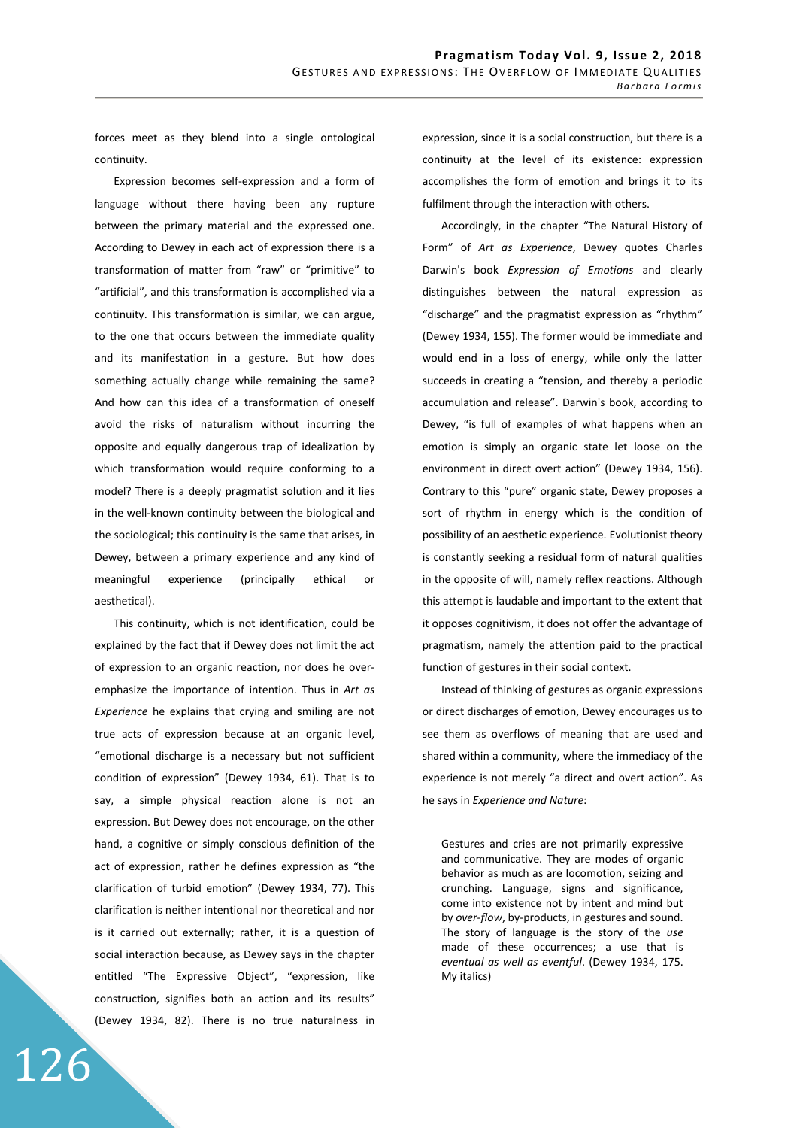forces meet as they blend into a single ontological continuity.

Expression becomes self-expression and a form of language without there having been any rupture between the primary material and the expressed one. According to Dewey in each act of expression there is a transformation of matter from "raw" or "primitive" to "artificial", and this transformation is accomplished via a continuity. This transformation is similar, we can argue, to the one that occurs between the immediate quality and its manifestation in a gesture. But how does something actually change while remaining the same? And how can this idea of a transformation of oneself avoid the risks of naturalism without incurring the opposite and equally dangerous trap of idealization by which transformation would require conforming to a model? There is a deeply pragmatist solution and it lies in the well-known continuity between the biological and the sociological; this continuity is the same that arises, in Dewey, between a primary experience and any kind of meaningful experience (principally ethical or aesthetical).

This continuity, which is not identification, could be explained by the fact that if Dewey does not limit the act of expression to an organic reaction, nor does he overemphasize the importance of intention. Thus in *Art as Experience* he explains that crying and smiling are not true acts of expression because at an organic level, "emotional discharge is a necessary but not sufficient condition of expression" (Dewey 1934, 61). That is to say, a simple physical reaction alone is not an expression. But Dewey does not encourage, on the other hand, a cognitive or simply conscious definition of the act of expression, rather he defines expression as "the clarification of turbid emotion" (Dewey 1934, 77). This clarification is neither intentional nor theoretical and nor is it carried out externally; rather, it is a question of social interaction because, as Dewey says in the chapter entitled "The Expressive Object", "expression, like construction, signifies both an action and its results" (Dewey 1934, 82). There is no true naturalness in

126

expression, since it is a social construction, but there is a continuity at the level of its existence: expression accomplishes the form of emotion and brings it to its fulfilment through the interaction with others.

Accordingly, in the chapter "The Natural History of Form" of *Art as Experience*, Dewey quotes Charles Darwin's book *Expression of Emotions* and clearly distinguishes between the natural expression as "discharge" and the pragmatist expression as "rhythm" (Dewey 1934, 155). The former would be immediate and would end in a loss of energy, while only the latter succeeds in creating a "tension, and thereby a periodic accumulation and release". Darwin's book, according to Dewey, "is full of examples of what happens when an emotion is simply an organic state let loose on the environment in direct overt action" (Dewey 1934, 156). Contrary to this "pure" organic state, Dewey proposes a sort of rhythm in energy which is the condition of possibility of an aesthetic experience. Evolutionist theory is constantly seeking a residual form of natural qualities in the opposite of will, namely reflex reactions. Although this attempt is laudable and important to the extent that it opposes cognitivism, it does not offer the advantage of pragmatism, namely the attention paid to the practical function of gestures in their social context.

Instead of thinking of gestures as organic expressions or direct discharges of emotion, Dewey encourages us to see them as overflows of meaning that are used and shared within a community, where the immediacy of the experience is not merely "a direct and overt action". As he says in *Experience and Nature*:

Gestures and cries are not primarily expressive and communicative. They are modes of organic behavior as much as are locomotion, seizing and crunching. Language, signs and significance, come into existence not by intent and mind but by *over-flow*, by-products, in gestures and sound. The story of language is the story of the *use* made of these occurrences; a use that is *eventual as well as eventful*. (Dewey 1934, 175. My italics)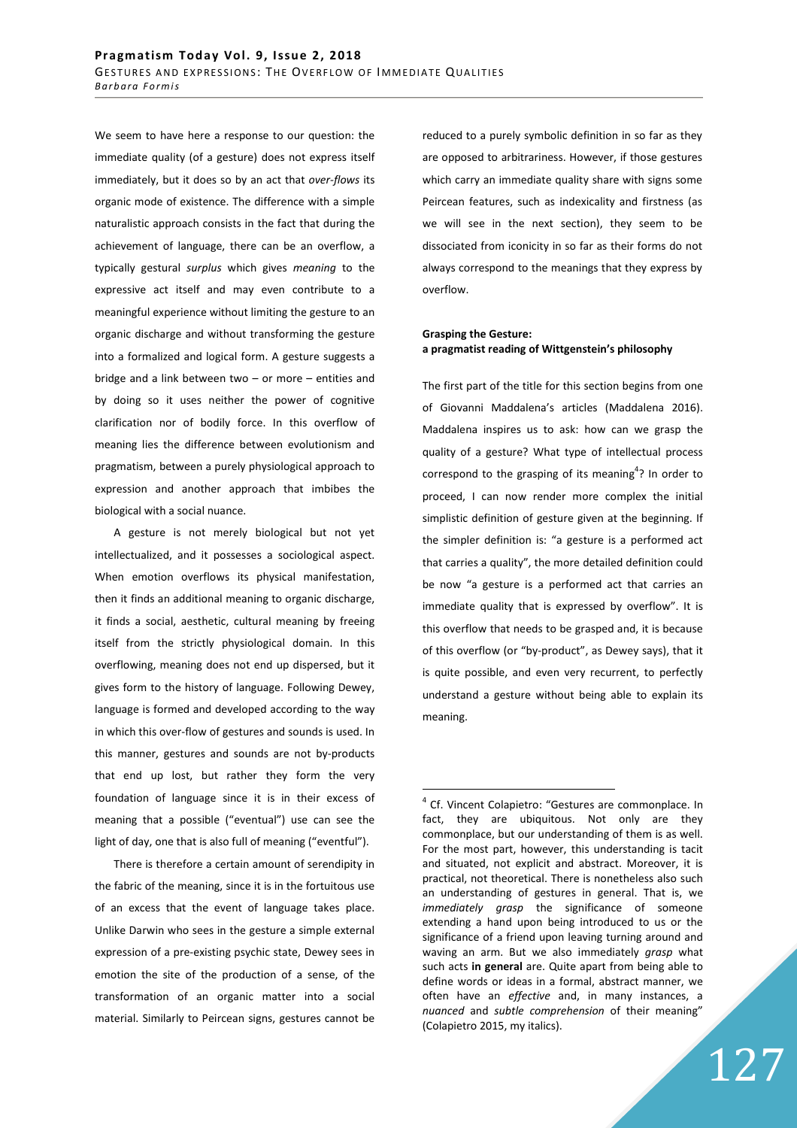We seem to have here a response to our question: the immediate quality (of a gesture) does not express itself immediately, but it does so by an act that *over-flows* its organic mode of existence. The difference with a simple naturalistic approach consists in the fact that during the achievement of language, there can be an overflow, a typically gestural *surplus* which gives *meaning* to the expressive act itself and may even contribute to a meaningful experience without limiting the gesture to an organic discharge and without transforming the gesture into a formalized and logical form. A gesture suggests a bridge and a link between two – or more – entities and by doing so it uses neither the power of cognitive clarification nor of bodily force. In this overflow of meaning lies the difference between evolutionism and pragmatism, between a purely physiological approach to expression and another approach that imbibes the biological with a social nuance.

A gesture is not merely biological but not yet intellectualized, and it possesses a sociological aspect. When emotion overflows its physical manifestation, then it finds an additional meaning to organic discharge, it finds a social, aesthetic, cultural meaning by freeing itself from the strictly physiological domain. In this overflowing, meaning does not end up dispersed, but it gives form to the history of language. Following Dewey, language is formed and developed according to the way in which this over-flow of gestures and sounds is used. In this manner, gestures and sounds are not by-products that end up lost, but rather they form the very foundation of language since it is in their excess of meaning that a possible ("eventual") use can see the light of day, one that is also full of meaning ("eventful").

There is therefore a certain amount of serendipity in the fabric of the meaning, since it is in the fortuitous use of an excess that the event of language takes place. Unlike Darwin who sees in the gesture a simple external expression of a pre-existing psychic state, Dewey sees in emotion the site of the production of a sense, of the transformation of an organic matter into a social material. Similarly to Peircean signs, gestures cannot be

reduced to a purely symbolic definition in so far as they are opposed to arbitrariness. However, if those gestures which carry an immediate quality share with signs some Peircean features, such as indexicality and firstness (as we will see in the next section), they seem to be dissociated from iconicity in so far as their forms do not always correspond to the meanings that they express by overflow.

## **Grasping the Gesture: a pragmatist reading of Wittgenstein's philosophy**

The first part of the title for this section begins from one of Giovanni Maddalena's articles (Maddalena 2016). Maddalena inspires us to ask: how can we grasp the quality of a gesture? What type of intellectual process correspond to the grasping of its meaning<sup>4</sup>? In order to proceed, I can now render more complex the initial simplistic definition of gesture given at the beginning. If the simpler definition is: "a gesture is a performed act that carries a quality", the more detailed definition could be now "a gesture is a performed act that carries an immediate quality that is expressed by overflow". It is this overflow that needs to be grasped and, it is because of this overflow (or "by-product", as Dewey says), that it is quite possible, and even very recurrent, to perfectly understand a gesture without being able to explain its meaning.

 $\overline{a}$ 

<sup>&</sup>lt;sup>4</sup> Cf. Vincent Colapietro: "Gestures are commonplace. In fact, they are ubiquitous. Not only are they commonplace, but our understanding of them is as well. For the most part, however, this understanding is tacit and situated, not explicit and abstract. Moreover, it is practical, not theoretical. There is nonetheless also such an understanding of gestures in general. That is, we *immediately grasp* the significance of someone extending a hand upon being introduced to us or the significance of a friend upon leaving turning around and waving an arm. But we also immediately *grasp* what such acts **in general** are. Quite apart from being able to define words or ideas in a formal, abstract manner, we often have an *effective* and, in many instances, a *nuanced* and *subtle comprehension* of their meaning" (Colapietro 2015, my italics).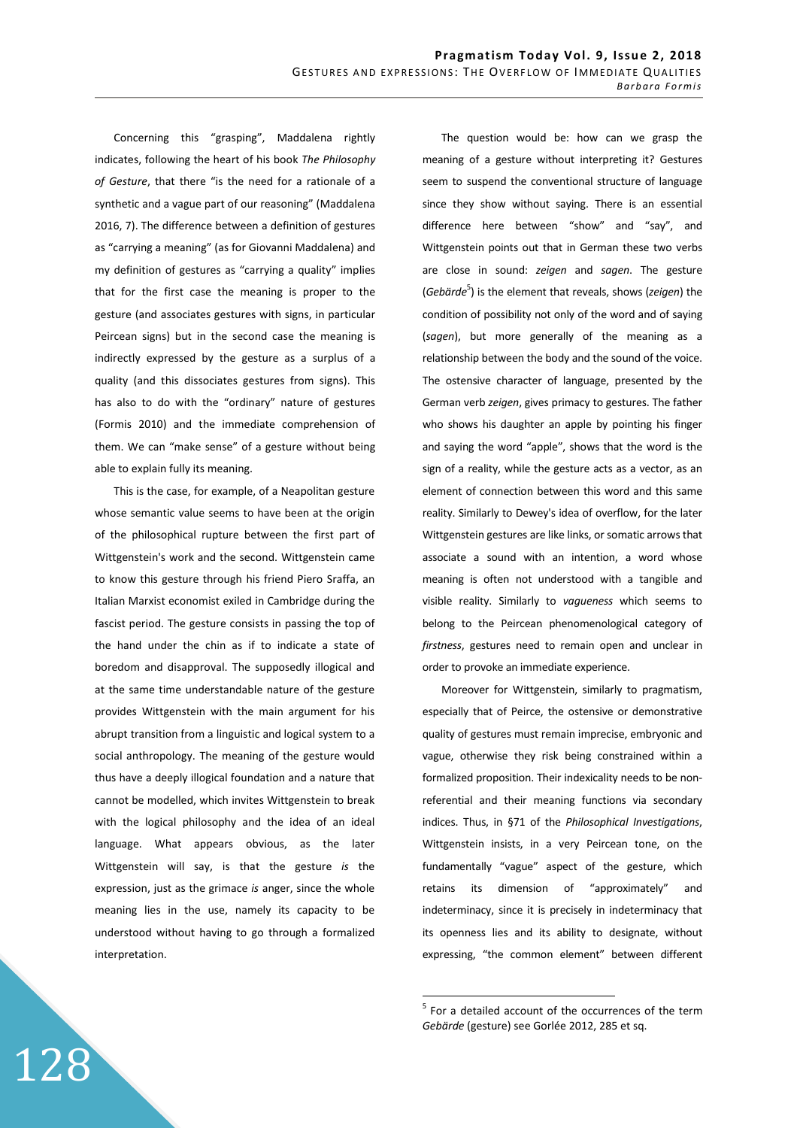Concerning this "grasping", Maddalena rightly indicates, following the heart of his book *The Philosophy of Gesture*, that there "is the need for a rationale of a synthetic and a vague part of our reasoning" (Maddalena 2016, 7). The difference between a definition of gestures as "carrying a meaning" (as for Giovanni Maddalena) and my definition of gestures as "carrying a quality" implies that for the first case the meaning is proper to the gesture (and associates gestures with signs, in particular Peircean signs) but in the second case the meaning is indirectly expressed by the gesture as a surplus of a quality (and this dissociates gestures from signs). This has also to do with the "ordinary" nature of gestures (Formis 2010) and the immediate comprehension of them. We can "make sense" of a gesture without being able to explain fully its meaning.

This is the case, for example, of a Neapolitan gesture whose semantic value seems to have been at the origin of the philosophical rupture between the first part of Wittgenstein's work and the second. Wittgenstein came to know this gesture through his friend Piero Sraffa, an Italian Marxist economist exiled in Cambridge during the fascist period. The gesture consists in passing the top of the hand under the chin as if to indicate a state of boredom and disapproval. The supposedly illogical and at the same time understandable nature of the gesture provides Wittgenstein with the main argument for his abrupt transition from a linguistic and logical system to a social anthropology. The meaning of the gesture would thus have a deeply illogical foundation and a nature that cannot be modelled, which invites Wittgenstein to break with the logical philosophy and the idea of an ideal language. What appears obvious, as the later Wittgenstein will say, is that the gesture *is* the expression, just as the grimace *is* anger, since the whole meaning lies in the use, namely its capacity to be understood without having to go through a formalized interpretation.

128

The question would be: how can we grasp the meaning of a gesture without interpreting it? Gestures seem to suspend the conventional structure of language since they show without saying. There is an essential difference here between "show" and "say", and Wittgenstein points out that in German these two verbs are close in sound: *zeigen* and *sagen*. The gesture (*Gebärde*<sup>5</sup>) is the element that reveals, shows (*zeigen*) the condition of possibility not only of the word and of saying (*sagen*), but more generally of the meaning as a relationship between the body and the sound of the voice. The ostensive character of language, presented by the German verb *zeigen*, gives primacy to gestures. The father who shows his daughter an apple by pointing his finger and saying the word "apple", shows that the word is the sign of a reality, while the gesture acts as a vector, as an element of connection between this word and this same reality. Similarly to Dewey's idea of overflow, for the later Wittgenstein gestures are like links, or somatic arrows that associate a sound with an intention, a word whose meaning is often not understood with a tangible and visible reality. Similarly to *vagueness* which seems to belong to the Peircean phenomenological category of *firstness*, gestures need to remain open and unclear in order to provoke an immediate experience.

Moreover for Wittgenstein, similarly to pragmatism, especially that of Peirce, the ostensive or demonstrative quality of gestures must remain imprecise, embryonic and vague, otherwise they risk being constrained within a formalized proposition. Their indexicality needs to be nonreferential and their meaning functions via secondary indices. Thus, in §71 of the *Philosophical Investigations*, Wittgenstein insists, in a very Peircean tone, on the fundamentally "vague" aspect of the gesture, which retains its dimension of "approximately" and indeterminacy, since it is precisely in indeterminacy that its openness lies and its ability to designate, without expressing, "the common element" between different

**EXECUTE:**<br>The state of the occurrences of the term<br>The scount of the occurrences of the term *Gebärde* (gesture) see Gorlée 2012, 285 et sq.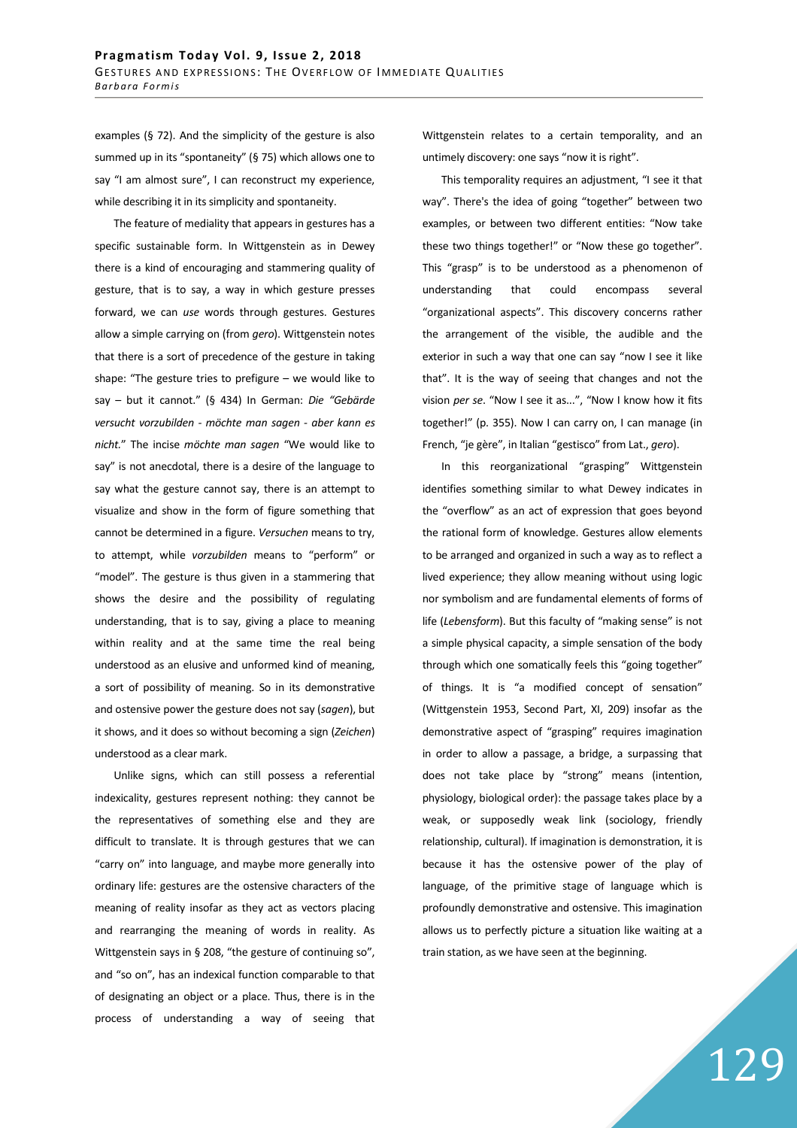examples (§ 72). And the simplicity of the gesture is also summed up in its "spontaneity" (§ 75) which allows one to say "I am almost sure", I can reconstruct my experience, while describing it in its simplicity and spontaneity.

The feature of mediality that appears in gestures has a specific sustainable form. In Wittgenstein as in Dewey there is a kind of encouraging and stammering quality of gesture, that is to say, a way in which gesture presses forward, we can *use* words through gestures. Gestures allow a simple carrying on (from *gero*). Wittgenstein notes that there is a sort of precedence of the gesture in taking shape: "The gesture tries to prefigure – we would like to say – but it cannot." (§ 434) In German: *Die "Gebärde versucht vorzubilden - möchte man sagen - aber kann es nicht.*" The incise *möchte man sagen* "We would like to say" is not anecdotal, there is a desire of the language to say what the gesture cannot say, there is an attempt to visualize and show in the form of figure something that cannot be determined in a figure. *Versuchen* means to try, to attempt, while *vorzubilden* means to "perform" or "model". The gesture is thus given in a stammering that shows the desire and the possibility of regulating understanding, that is to say, giving a place to meaning within reality and at the same time the real being understood as an elusive and unformed kind of meaning, a sort of possibility of meaning. So in its demonstrative and ostensive power the gesture does not say (*sagen*), but it shows, and it does so without becoming a sign (*Zeichen*) understood as a clear mark.

Unlike signs, which can still possess a referential indexicality, gestures represent nothing: they cannot be the representatives of something else and they are difficult to translate. It is through gestures that we can "carry on" into language, and maybe more generally into ordinary life: gestures are the ostensive characters of the meaning of reality insofar as they act as vectors placing and rearranging the meaning of words in reality. As Wittgenstein says in § 208, "the gesture of continuing so", and "so on", has an indexical function comparable to that of designating an object or a place. Thus, there is in the process of understanding a way of seeing that Wittgenstein relates to a certain temporality, and an untimely discovery: one says "now it is right".

This temporality requires an adjustment, "I see it that way". There's the idea of going "together" between two examples, or between two different entities: "Now take these two things together!" or "Now these go together". This "grasp" is to be understood as a phenomenon of understanding that could encompass several "organizational aspects". This discovery concerns rather the arrangement of the visible, the audible and the exterior in such a way that one can say "now I see it like that". It is the way of seeing that changes and not the vision *per se*. "Now I see it as...", "Now I know how it fits together!" (p. 355). Now I can carry on, I can manage (in French, "je gère", in Italian "gestisco" from Lat., *gero*).

In this reorganizational "grasping" Wittgenstein identifies something similar to what Dewey indicates in the "overflow" as an act of expression that goes beyond the rational form of knowledge. Gestures allow elements to be arranged and organized in such a way as to reflect a lived experience; they allow meaning without using logic nor symbolism and are fundamental elements of forms of life (*Lebensform*). But this faculty of "making sense" is not a simple physical capacity, a simple sensation of the body through which one somatically feels this "going together" of things. It is "a modified concept of sensation" (Wittgenstein 1953, Second Part, XI, 209) insofar as the demonstrative aspect of "grasping" requires imagination in order to allow a passage, a bridge, a surpassing that does not take place by "strong" means (intention, physiology, biological order): the passage takes place by a weak, or supposedly weak link (sociology, friendly relationship, cultural). If imagination is demonstration, it is because it has the ostensive power of the play of language, of the primitive stage of language which is profoundly demonstrative and ostensive. This imagination allows us to perfectly picture a situation like waiting at a train station, as we have seen at the beginning.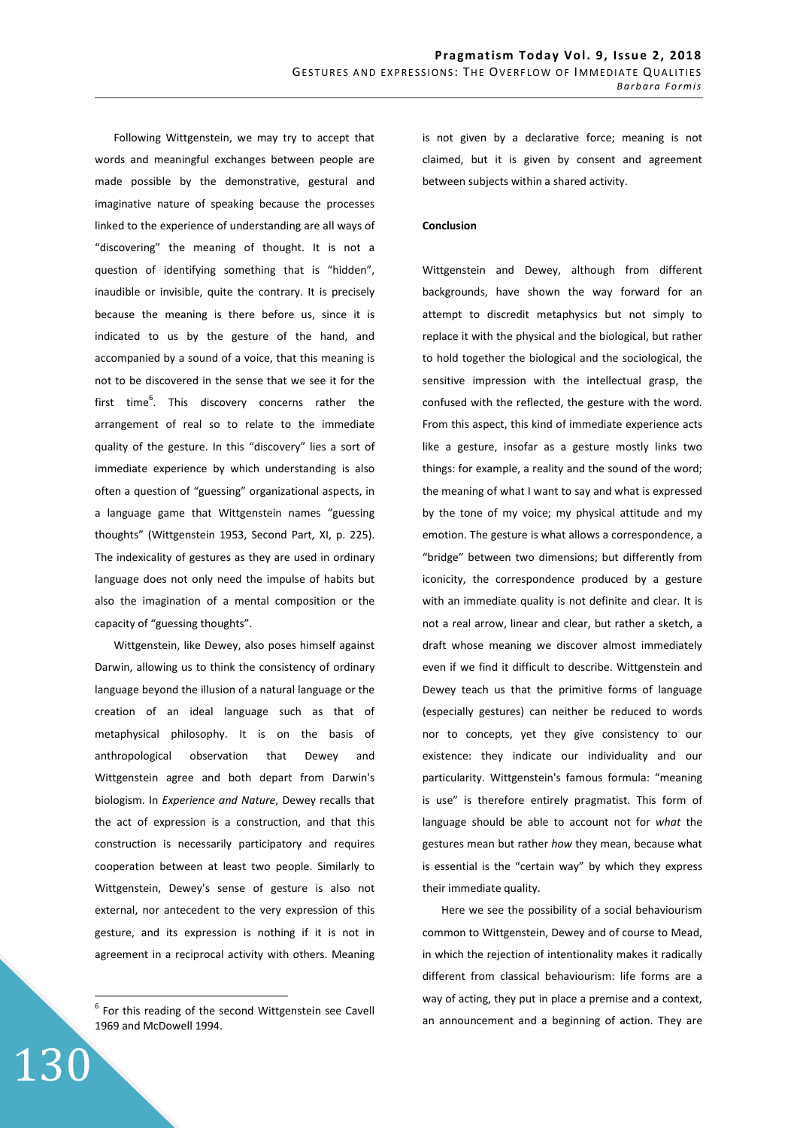Following Wittgenstein, we may try to accept that words and meaningful exchanges between people are made possible by the demonstrative, gestural and imaginative nature of speaking because the processes linked to the experience of understanding are all ways of "discovering" the meaning of thought. It is not a question of identifying something that is "hidden", inaudible or invisible, quite the contrary. It is precisely because the meaning is there before us, since it is indicated to us by the gesture of the hand, and accompanied by a sound of a voice, that this meaning is not to be discovered in the sense that we see it for the first time<sup>6</sup>. This discovery concerns rather the arrangement of real so to relate to the immediate quality of the gesture. In this "discovery" lies a sort of immediate experience by which understanding is also often a question of "guessing" organizational aspects, in a language game that Wittgenstein names "guessing thoughts" (Wittgenstein 1953, Second Part, XI, p. 225). The indexicality of gestures as they are used in ordinary language does not only need the impulse of habits but also the imagination of a mental composition or the capacity of "guessing thoughts".

Wittgenstein, like Dewey, also poses himself against Darwin, allowing us to think the consistency of ordinary language beyond the illusion of a natural language or the creation of an ideal language such as that of metaphysical philosophy. It is on the basis of anthropological observation that Dewey and Wittgenstein agree and both depart from Darwin's biologism. In *Experience and Nature*, Dewey recalls that the act of expression is a construction, and that this construction is necessarily participatory and requires cooperation between at least two people. Similarly to Wittgenstein, Dewey's sense of gesture is also not external, nor antecedent to the very expression of this gesture, and its expression is nothing if it is not in agreement in a reciprocal activity with others. Meaning

130

is not given by a declarative force; meaning is not claimed, but it is given by consent and agreement between subjects within a shared activity.

# **Conclusion**

Wittgenstein and Dewey, although from different backgrounds, have shown the way forward for an attempt to discredit metaphysics but not simply to replace it with the physical and the biological, but rather to hold together the biological and the sociological, the sensitive impression with the intellectual grasp, the confused with the reflected, the gesture with the word. From this aspect, this kind of immediate experience acts like a gesture, insofar as a gesture mostly links two things: for example, a reality and the sound of the word; the meaning of what I want to say and what is expressed by the tone of my voice; my physical attitude and my emotion. The gesture is what allows a correspondence, a "bridge" between two dimensions; but differently from iconicity, the correspondence produced by a gesture with an immediate quality is not definite and clear. It is not a real arrow, linear and clear, but rather a sketch, a draft whose meaning we discover almost immediately even if we find it difficult to describe. Wittgenstein and Dewey teach us that the primitive forms of language (especially gestures) can neither be reduced to words nor to concepts, yet they give consistency to our existence: they indicate our individuality and our particularity. Wittgenstein's famous formula: "meaning is use" is therefore entirely pragmatist. This form of language should be able to account not for *what* the gestures mean but rather *how* they mean, because what is essential is the "certain way" by which they express their immediate quality.

Here we see the possibility of a social behaviourism common to Wittgenstein, Dewey and of course to Mead, in which the rejection of intentionality makes it radically different from classical behaviourism: life forms are a way of acting, they put in place a premise and a context, an announcement and a beginning of action. They are

 6 For this reading of the second Wittgenstein see Cavell 1969 and McDowell 1994.